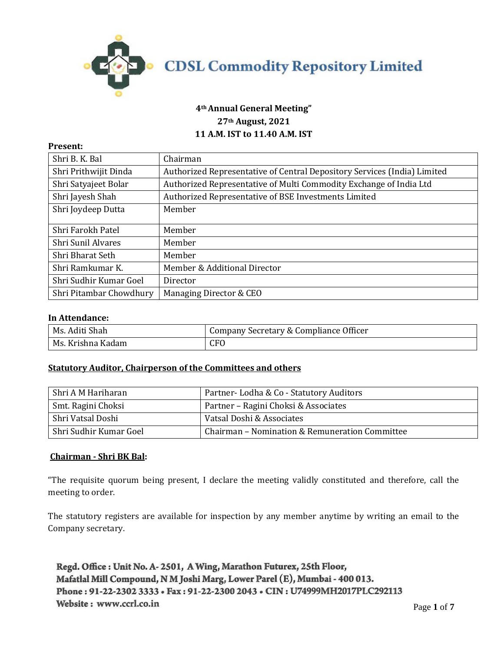

# **4th Annual General Meeting" 27th August, 2021 11 A.M. IST to 11.40 A.M. IST**

#### **Present:**

| Shri B. K. Bal          | Chairman                                                                 |
|-------------------------|--------------------------------------------------------------------------|
| Shri Prithwijit Dinda   | Authorized Representative of Central Depository Services (India) Limited |
| Shri Satyajeet Bolar    | Authorized Representative of Multi Commodity Exchange of India Ltd       |
| Shri Jayesh Shah        | Authorized Representative of BSE Investments Limited                     |
| Shri Joydeep Dutta      | Member                                                                   |
| Shri Farokh Patel       | Member                                                                   |
| Shri Sunil Alvares      | Member                                                                   |
| Shri Bharat Seth        | Member                                                                   |
| Shri Ramkumar K.        | Member & Additional Director                                             |
| Shri Sudhir Kumar Goel  | Director                                                                 |
| Shri Pitambar Chowdhury | Managing Director & CEO                                                  |

### **In Attendance:**

| Ms. Aditi Shah    | <sup>1</sup> Company Secretary & Compliance Officer |
|-------------------|-----------------------------------------------------|
| Ms. Krishna Kadam | CFO                                                 |

## **Statutory Auditor, Chairperson of the Committees and others**

| Shri A M Hariharan     | Partner-Lodha & Co - Statutory Auditors        |
|------------------------|------------------------------------------------|
| Smt. Ragini Choksi     | Partner - Ragini Choksi & Associates           |
| Shri Vatsal Doshi      | Vatsal Doshi & Associates                      |
| Shri Sudhir Kumar Goel | Chairman – Nomination & Remuneration Committee |

#### **Chairman - Shri BK Bal:**

"The requisite quorum being present, I declare the meeting validly constituted and therefore, call the meeting to order.

The statutory registers are available for inspection by any member anytime by writing an email to the Company secretary.

Regd. Office: Unit No. A-2501, A Wing, Marathon Futurex, 25th Floor, Mafatlal Mill Compound, N M Joshi Marg, Lower Parel (E), Mumbai - 400 013. Phone: 91-22-2302 3333 · Fax: 91-22-2300 2043 · CIN: U74999MH2017PLC292113 Website: www.ccrl.co.in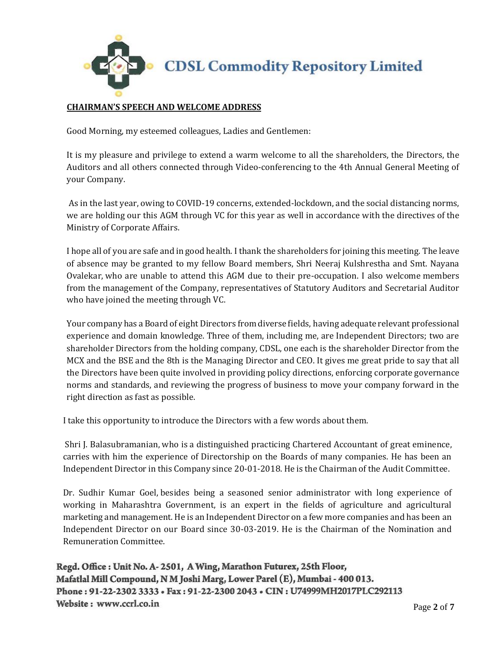

# **CHAIRMAN'S SPEECH AND WELCOME ADDRESS**

Good Morning, my esteemed colleagues, Ladies and Gentlemen:

It is my pleasure and privilege to extend a warm welcome to all the shareholders, the Directors, the Auditors and all others connected through Video-conferencing to the 4th Annual General Meeting of your Company.

As in the last year, owing to COVID-19 concerns, extended-lockdown, and the social distancing norms, we are holding our this AGM through VC for this year as well in accordance with the directives of the Ministry of Corporate Affairs.

I hope all of you are safe and in good health. I thank the shareholders for joining this meeting. The leave of absence may be granted to my fellow Board members, Shri Neeraj Kulshrestha and Smt. Nayana Ovalekar, who are unable to attend this AGM due to their pre-occupation. I also welcome members from the management of the Company, representatives of Statutory Auditors and Secretarial Auditor who have joined the meeting through VC.

Your company has a Board of eight Directors from diverse fields, having adequate relevant professional experience and domain knowledge. Three of them, including me, are Independent Directors; two are shareholder Directors from the holding company, CDSL, one each is the shareholder Director from the MCX and the BSE and the 8th is the Managing Director and CEO. It gives me great pride to say that all the Directors have been quite involved in providing policy directions, enforcing corporate governance norms and standards, and reviewing the progress of business to move your company forward in the right direction as fast as possible.

I take this opportunity to introduce the Directors with a few words about them.

Shri J. Balasubramanian, who is a distinguished practicing Chartered Accountant of great eminence, carries with him the experience of Directorship on the Boards of many companies. He has been an Independent Director in this Company since 20-01-2018. He is the Chairman of the Audit Committee.

Dr. Sudhir Kumar Goel, besides being a seasoned senior administrator with long experience of working in Maharashtra Government, is an expert in the fields of agriculture and agricultural marketing and management. He is an Independent Director on a few more companies and has been an Independent Director on our Board since 30-03-2019. He is the Chairman of the Nomination and Remuneration Committee.

Regd. Office: Unit No. A-2501, A Wing, Marathon Futurex, 25th Floor, Mafatlal Mill Compound, N M Joshi Marg, Lower Parel (E), Mumbai - 400 013. Phone: 91-22-2302 3333 . Fax: 91-22-2300 2043 . CIN: U74999MH2017PLC292113 Website: www.ccrl.co.in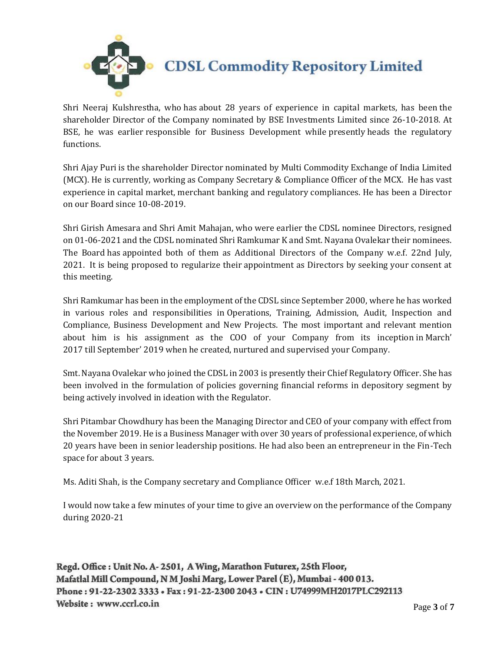

Shri Neeraj Kulshrestha, who has about 28 years of experience in capital markets, has been the shareholder Director of the Company nominated by BSE Investments Limited since 26-10-2018. At BSE, he was earlier responsible for Business Development while presently heads the regulatory functions.

Shri Ajay Puri is the shareholder Director nominated by Multi Commodity Exchange of India Limited (MCX). He is currently, working as Company Secretary & Compliance Officer of the MCX. He has vast experience in capital market, merchant banking and regulatory compliances. He has been a Director on our Board since 10-08-2019.

Shri Girish Amesara and Shri Amit Mahajan, who were earlier the CDSL nominee Directors, resigned on 01-06-2021 and the CDSL nominated Shri Ramkumar K and Smt. Nayana Ovalekar their nominees. The Board has appointed both of them as Additional Directors of the Company w.e.f. 22nd July, 2021. It is being proposed to regularize their appointment as Directors by seeking your consent at this meeting.

Shri Ramkumar has been in the employment of the CDSL since September 2000, where he has worked in various roles and responsibilities in Operations, Training, Admission, Audit, Inspection and Compliance, Business Development and New Projects. The most important and relevant mention about him is his assignment as the COO of your Company from its inception in March' 2017 till September' 2019 when he created, nurtured and supervised your Company.

Smt. Nayana Ovalekar who joined the CDSL in 2003 is presently their Chief Regulatory Officer. She has been involved in the formulation of policies governing financial reforms in depository segment by being actively involved in ideation with the Regulator.

Shri Pitambar Chowdhury has been the Managing Director and CEO of your company with effect from the November 2019. He is a Business Manager with over 30 years of professional experience, of which 20 years have been in senior leadership positions. He had also been an entrepreneur in the Fin-Tech space for about 3 years.

Ms. Aditi Shah, is the Company secretary and Compliance Officer w.e.f 18th March, 2021.

I would now take a few minutes of your time to give an overview on the performance of the Company during 2020-21

Regd. Office: Unit No. A-2501, A Wing, Marathon Futurex, 25th Floor, Mafatlal Mill Compound, N M Joshi Marg, Lower Parel (E), Mumbai - 400 013. Phone: 91-22-2302 3333 . Fax: 91-22-2300 2043 . CIN: U74999MH2017PLC292113 Website: www.ccrl.co.in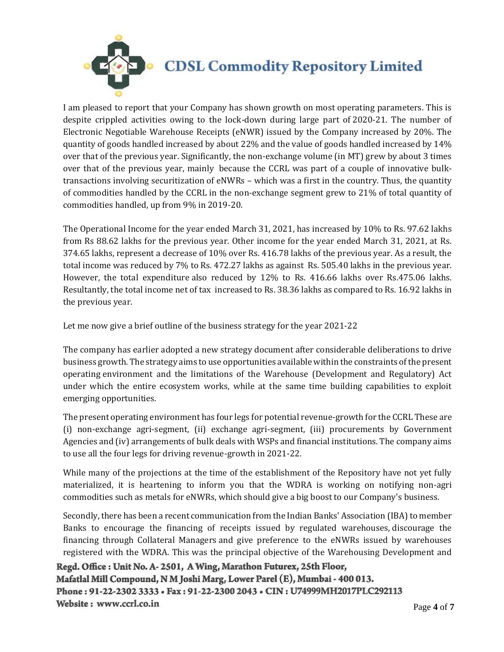

I am pleased to report that your Company has shown growth on most operating parameters. This is despite crippled activities owing to the lock-down during large part of 2020-21. The number of Electronic Negotiable Warehouse Receipts (eNWR) issued by the Company increased by 20%. The quantity of goods handled increased by about 22% and the value of goods handled increased by 14% over that of the previous year. Significantly, the non-exchange volume (in MT) grew by about 3 times over that of the previous year, mainly because the CCRL was part of a couple of innovative bulktransactions involving securitization of eNWRs – which was a first in the country. Thus, the quantity of commodities handled by the CCRL in the non-exchange segment grew to 21% of total quantity of commodities handled, up from 9% in 2019-20.

The Operational Income for the year ended March 31, 2021, has increased by 10% to Rs. 97.62 lakhs from Rs 88.62 lakhs for the previous year. Other income for the year ended March 31, 2021, at Rs. 374.65 lakhs, represent a decrease of 10% over Rs. 416.78 lakhs of the previous year. As a result, the total income was reduced by 7% to Rs. 472.27 lakhs as against Rs. 505.40 lakhs in the previous year. However, the total expenditure also reduced by 12% to Rs. 416.66 lakhs over Rs.475.06 lakhs. Resultantly, the total income net of tax increased to Rs. 38.36 lakhs as compared to Rs. 16.92 lakhs in the previous year.

Let me now give a brief outline of the business strategy for the year 2021-22

The company has earlier adopted a new strategy document after considerable deliberations to drive business growth. The strategy aims to use opportunities available within the constraints of the present operating environment and the limitations of the Warehouse (Development and Regulatory) Act under which the entire ecosystem works, while at the same time building capabilities to exploit emerging opportunities.

The present operating environment has four legs for potential revenue-growth for the CCRL These are (i) non-exchange agri-segment, (ii) exchange agri-segment, (iii) procurements by Government Agencies and (iv) arrangements of bulk deals with WSPs and financial institutions. The company aims to use all the four legs for driving revenue-growth in 2021-22.

While many of the projections at the time of the establishment of the Repository have not yet fully materialized, it is heartening to inform you that the WDRA is working on notifying non-agri commodities such as metals for eNWRs, which should give a big boost to our Company's business.

Secondly, there has been a recent communication from the Indian Banks' Association (IBA) to member Banks to encourage the financing of receipts issued by regulated warehouses, discourage the financing through Collateral Managers and give preference to the eNWRs issued by warehouses registered with the WDRA. This was the principal objective of the Warehousing Development and

Regd. Office: Unit No. A-2501, A Wing, Marathon Futurex, 25th Floor, Mafatlal Mill Compound, N M Joshi Marg, Lower Parel (E), Mumbai - 400 013. Phone: 91-22-2302 3333 · Fax: 91-22-2300 2043 · CIN: U74999MH2017PLC292113 Website: www.ccrl.co.in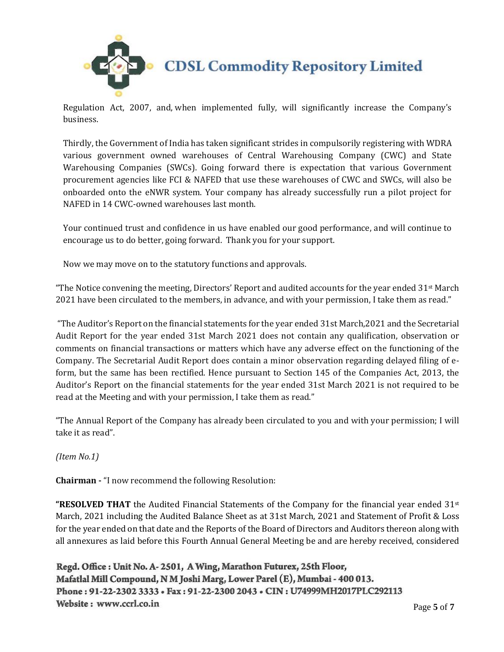

**CDSL Commodity Repository Limited** 

Regulation Act, 2007, and, when implemented fully, will significantly increase the Company's business.

Thirdly, the Government of India has taken significant strides in compulsorily registering with WDRA various government owned warehouses of Central Warehousing Company (CWC) and State Warehousing Companies (SWCs). Going forward there is expectation that various Government procurement agencies like FCI & NAFED that use these warehouses of CWC and SWCs, will also be onboarded onto the eNWR system. Your company has already successfully run a pilot project for NAFED in 14 CWC-owned warehouses last month.

Your continued trust and confidence in us have enabled our good performance, and will continue to encourage us to do better, going forward. Thank you for your support.

Now we may move on to the statutory functions and approvals.

"The Notice convening the meeting, Directors' Report and audited accounts for the year ended  $31<sup>st</sup>$  March 2021 have been circulated to the members, in advance, and with your permission, I take them as read."

"The Auditor's Report on the financial statements for the year ended 31st March,2021 and the Secretarial Audit Report for the year ended 31st March 2021 does not contain any qualification, observation or comments on financial transactions or matters which have any adverse effect on the functioning of the Company. The Secretarial Audit Report does contain a minor observation regarding delayed filing of eform, but the same has been rectified. Hence pursuant to Section 145 of the Companies Act, 2013, the Auditor's Report on the financial statements for the year ended 31st March 2021 is not required to be read at the Meeting and with your permission, I take them as read."

"The Annual Report of the Company has already been circulated to you and with your permission; I will take it as read".

*(Item No.1)*

**Chairman -** "I now recommend the following Resolution:

**"RESOLVED THAT** the Audited Financial Statements of the Company for the financial year ended 31st March, 2021 including the Audited Balance Sheet as at 31st March, 2021 and Statement of Profit & Loss for the year ended on that date and the Reports of the Board of Directors and Auditors thereon along with all annexures as laid before this Fourth Annual General Meeting be and are hereby received, considered

Regd. Office: Unit No. A-2501, A Wing, Marathon Futurex, 25th Floor, Mafatlal Mill Compound, N M Joshi Marg, Lower Parel (E), Mumbai - 400 013. Phone: 91-22-2302 3333 . Fax: 91-22-2300 2043 . CIN: U74999MH2017PLC292113 Website: www.ccrl.co.in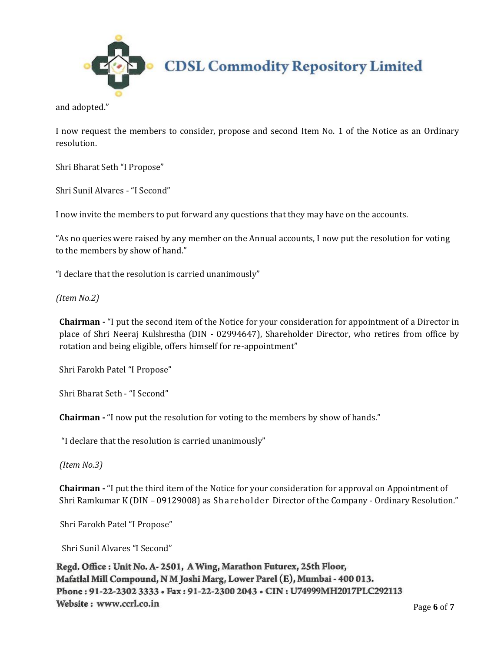

and adopted."

I now request the members to consider, propose and second Item No. 1 of the Notice as an Ordinary resolution.

Shri Bharat Seth "I Propose"

Shri Sunil Alvares - "I Second"

I now invite the members to put forward any questions that they may have on the accounts.

"As no queries were raised by any member on the Annual accounts, I now put the resolution for voting to the members by show of hand."

"I declare that the resolution is carried unanimously"

*(Item No.2)*

**Chairman -** "I put the second item of the Notice for your consideration for appointment of a Director in place of Shri Neeraj Kulshrestha (DIN - [02994647\)](http://www.mca.gov.in/mcafoportal/companyLLPMasterData.do), Shareholder Director, who retires from office by rotation and being eligible, offers himself for re-appointment"

Shri Farokh Patel "I Propose"

Shri Bharat Seth - "I Second"

**Chairman -** "I now put the resolution for voting to the members by show of hands."

"I declare that the resolution is carried unanimously"

*(Item No.3)*

**Chairman -** "I put the third item of the Notice for your consideration for approval on Appointment of Shri Ramkumar K (DIN – 09129008) as Shareholder Director of the Company - Ordinary Resolution."

Shri Farokh Patel "I Propose"

Shri Sunil Alvares "I Second"

Regd. Office: Unit No. A-2501, A Wing, Marathon Futurex, 25th Floor, Mafatlal Mill Compound, N M Joshi Marg, Lower Parel (E), Mumbai - 400 013. Phone: 91-22-2302 3333 • Fax: 91-22-2300 2043 • CIN: U74999MH2017PLC292113 Website: www.ccrl.co.in